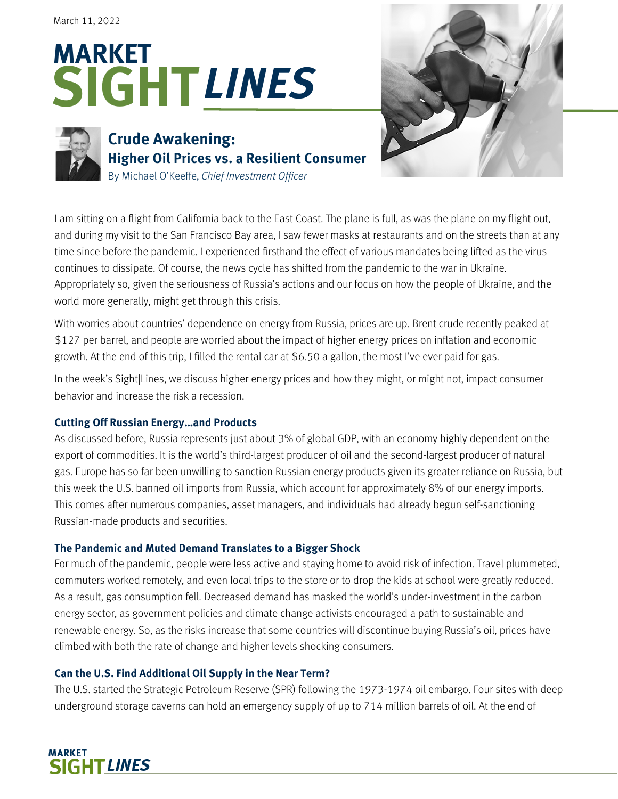# **SIGHT MARKET** *LINES*



MARKET

**SIGHT LINES** 

## **Crude Awakening: Higher Oil Prices vs. a Resilient Consumer** By Michael O'Keeffe, *Chief Investment Officer*



I am sitting on a flight from California back to the East Coast. The plane is full, as was the plane on my flight out, and during my visit to the San Francisco Bay area, I saw fewer masks at restaurants and on the streets than at any time since before the pandemic. I experienced firsthand the effect of various mandates being lifted as the virus continues to dissipate. Of course, the news cycle has shifted from the pandemic to the war in Ukraine. Appropriately so, given the seriousness of Russia's actions and our focus on how the people of Ukraine, and the world more generally, might get through this crisis.

With worries about countries' dependence on energy from Russia, prices are up. Brent crude recently peaked at \$127 per barrel, and people are worried about the impact of higher energy prices on inflation and economic growth. At the end of this trip, I filled the rental car at \$6.50 a gallon, the most I've ever paid for gas.

In the week's Sight|Lines, we discuss higher energy prices and how they might, or might not, impact consumer behavior and increase the risk a recession.

## **Cutting Off Russian Energy…and Products**

As discussed before, Russia represents just about 3% of global GDP, with an economy highly dependent on the export of commodities. It is the world's third-largest producer of oil and the second-largest producer of natural gas. Europe has so far been unwilling to sanction Russian energy products given its greater reliance on Russia, but this week the U.S. banned oil imports from Russia, which account for approximately 8% of our energy imports. This comes after numerous companies, asset managers, and individuals had already begun self-sanctioning Russian-made products and securities.

## **The Pandemic and Muted Demand Translates to a Bigger Shock**

For much of the pandemic, people were less active and staying home to avoid risk of infection. Travel plummeted, commuters worked remotely, and even local trips to the store or to drop the kids at school were greatly reduced. As a result, gas consumption fell. Decreased demand has masked the world's under-investment in the carbon energy sector, as government policies and climate change activists encouraged a path to sustainable and renewable energy. So, as the risks increase that some countries will discontinue buying Russia's oil, prices have climbed with both the rate of change and higher levels shocking consumers.

## **Can the U.S. Find Additional Oil Supply in the Near Term?**

The U.S. started the Strategic Petroleum Reserve (SPR) following the 1973-1974 oil embargo. Four sites with deep underground storage caverns can hold an emergency supply of up to 714 million barrels of oil. At the end of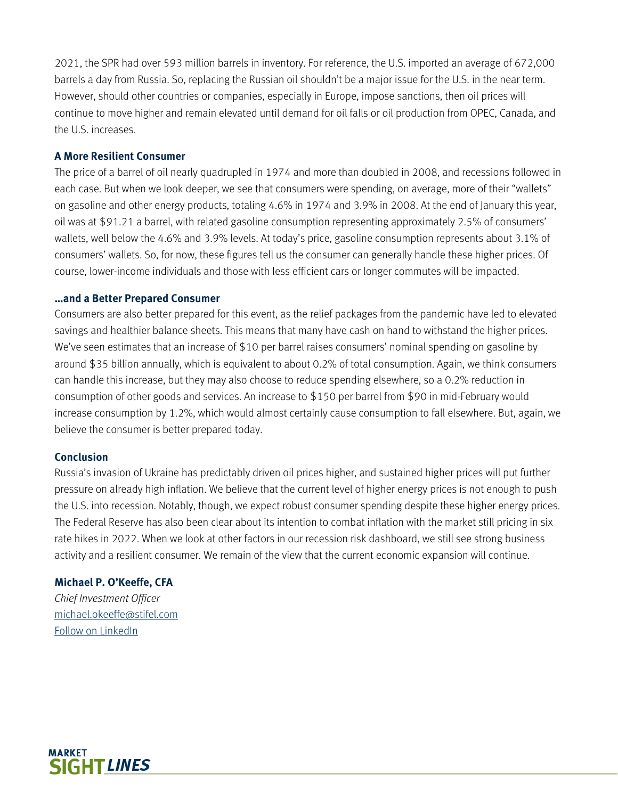2021, the SPR had over 593 million barrels in inventory. For reference, the U.S. imported an average of 672,000 barrels a day from Russia. So, replacing the Russian oil shouldn't be a major issue for the U.S. in the near term. However, should other countries or companies, especially in Europe, impose sanctions, then oil prices will continue to move higher and remain elevated until demand for oil falls or oil production from OPEC, Canada, and the U.S. increases.

#### **A More Resilient Consumer**

The price of a barrel of oil nearly quadrupled in 1974 and more than doubled in 2008, and recessions followed in each case. But when we look deeper, we see that consumers were spending, on average, more of their "wallets" on gasoline and other energy products, totaling 4.6% in 1974 and 3.9% in 2008. At the end of January this year, oil was at \$91.21 a barrel, with related gasoline consumption representing approximately 2.5% of consumers' wallets, well below the 4.6% and 3.9% levels. At today's price, gasoline consumption represents about 3.1% of consumers' wallets. So, for now, these figures tell us the consumer can generally handle these higher prices. Of course, lower-income individuals and those with less efficient cars or longer commutes will be impacted.

#### **…and a Better Prepared Consumer**

Consumers are also better prepared for this event, as the relief packages from the pandemic have led to elevated savings and healthier balance sheets. This means that many have cash on hand to withstand the higher prices. We've seen estimates that an increase of \$10 per barrel raises consumers' nominal spending on gasoline by around \$35 billion annually, which is equivalent to about 0.2% of total consumption. Again, we think consumers can handle this increase, but they may also choose to reduce spending elsewhere, so a 0.2% reduction in consumption of other goods and services. An increase to \$150 per barrel from \$90 in mid-February would increase consumption by 1.2%, which would almost certainly cause consumption to fall elsewhere. But, again, we believe the consumer is better prepared today.

#### **Conclusion**

Russia's invasion of Ukraine has predictably driven oil prices higher, and sustained higher prices will put further pressure on already high inflation. We believe that the current level of higher energy prices is not enough to push the U.S. into recession. Notably, though, we expect robust consumer spending despite these higher energy prices. The Federal Reserve has also been clear about its intention to combat inflation with the market still pricing in six rate hikes in 2022. When we look at other factors in our recession risk dashboard, we still see strong business activity and a resilient consumer. We remain of the view that the current economic expansion will continue.

### **Michael P. O'Keeffe, CFA**

*Chief Investment Officer* michael.okeeffe@stifel.com Follow on LinkedIn